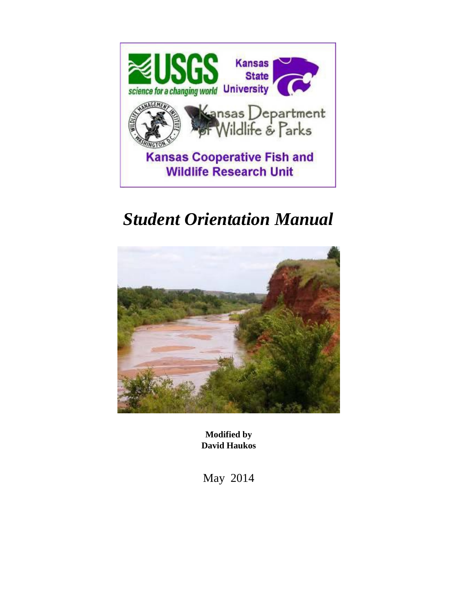

# *Student Orientation Manual*



**Modified by David Haukos**

May 2014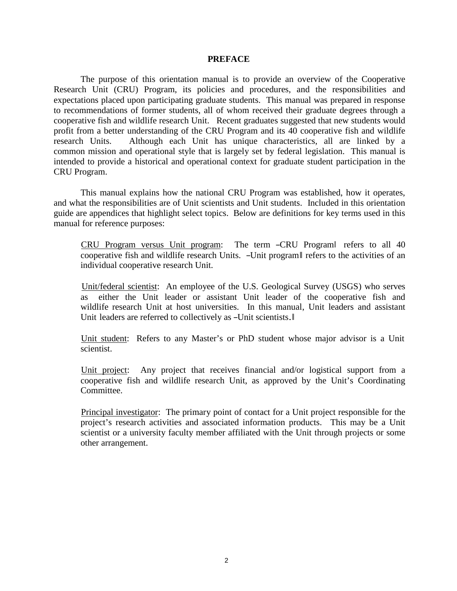#### **PREFACE**

The purpose of this orientation manual is to provide an overview of the Cooperative Research Unit (CRU) Program, its policies and procedures, and the responsibilities and expectations placed upon participating graduate students. This manual was prepared in response to recommendations of former students, all of whom received their graduate degrees through a cooperative fish and wildlife research Unit. Recent graduates suggested that new students would profit from a better understanding of the CRU Program and its 40 cooperative fish and wildlife research Units. Although each Unit has unique characteristics, all are linked by a common mission and operational style that is largely set by federal legislation. This manual is intended to provide a historical and operational context for graduate student participation in the CRU Program.

This manual explains how the national CRU Program was established, how it operates, and what the responsibilities are of Unit scientists and Unit students. Included in this orientation guide are appendices that highlight select topics. Below are definitions for key terms used in this manual for reference purposes:

 CRU Program versus Unit program: The term ―CRU Program‖ refers to all 40 cooperative fish and wildlife research Units. ―Unit program‖ refers to the activities of an individual cooperative research Unit.

 Unit/federal scientist: An employee of the U.S. Geological Survey (USGS) who serves as either the Unit leader or assistant Unit leader of the cooperative fish and wildlife research Unit at host universities. In this manual, Unit leaders and assistant Unit leaders are referred to collectively as -Unit scientists.

 Unit student: Refers to any Master's or PhD student whose major advisor is a Unit scientist.

 Unit project: Any project that receives financial and/or logistical support from a cooperative fish and wildlife research Unit, as approved by the Unit's Coordinating Committee.

 Principal investigator: The primary point of contact for a Unit project responsible for the project's research activities and associated information products. This may be a Unit scientist or a university faculty member affiliated with the Unit through projects or some other arrangement.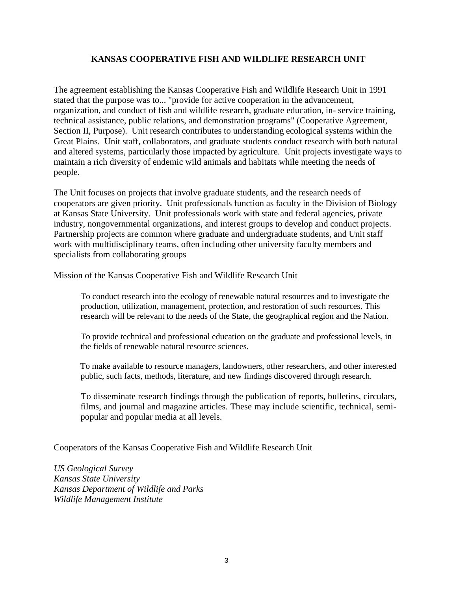# **KANSAS COOPERATIVE FISH AND WILDLIFE RESEARCH UNIT**

The agreement establishing the Kansas Cooperative Fish and Wildlife Research Unit in 1991 stated that the purpose was to... "provide for active cooperation in the advancement, organization, and conduct of fish and wildlife research, graduate education, in- service training, technical assistance, public relations, and demonstration programs" (Cooperative Agreement, Section II, Purpose). Unit research contributes to understanding ecological systems within the Great Plains. Unit staff, collaborators, and graduate students conduct research with both natural and altered systems, particularly those impacted by agriculture. Unit projects investigate ways to maintain a rich diversity of endemic wild animals and habitats while meeting the needs of people.

The Unit focuses on projects that involve graduate students, and the research needs of cooperators are given priority. Unit professionals function as faculty in the Division of Biology at Kansas State University. Unit professionals work with state and federal agencies, private industry, nongovernmental organizations, and interest groups to develop and conduct projects. Partnership projects are common where graduate and undergraduate students, and Unit staff work with multidisciplinary teams, often including other university faculty members and specialists from collaborating groups

Mission of the Kansas Cooperative Fish and Wildlife Research Unit

 To conduct research into the ecology of renewable natural resources and to investigate the production, utilization, management, protection, and restoration of such resources. This research will be relevant to the needs of the State, the geographical region and the Nation.

 To provide technical and professional education on the graduate and professional levels, in the fields of renewable natural resource sciences.

 To make available to resource managers, landowners, other researchers, and other interested public, such facts, methods, literature, and new findings discovered through research.

 To disseminate research findings through the publication of reports, bulletins, circulars, films, and journal and magazine articles. These may include scientific, technical, semipopular and popular media at all levels.

Cooperators of the Kansas Cooperative Fish and Wildlife Research Unit

*US Geological Survey Kansas State University Kansas Department of Wildlife and Parks Wildlife Management Institute*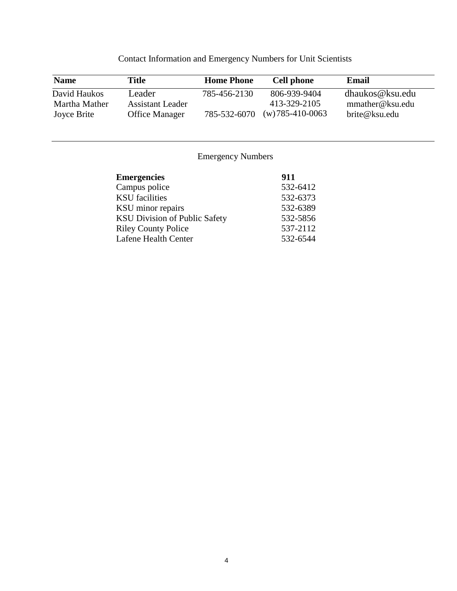| <b>Name</b>                   | Title                      | <b>Home Phone</b> | <b>Cell phone</b>            | <b>Email</b>                       |
|-------------------------------|----------------------------|-------------------|------------------------------|------------------------------------|
| David Haukos<br>Martha Mather | Leader<br>Assistant Leader | 785-456-2130      | 806-939-9404<br>413-329-2105 | dhaukos@ksu.edu<br>mmather@ksu.edu |
| Joyce Brite                   | <b>Office Manager</b>      | 785-532-6070      | $(w)$ 785-410-0063           | brite@ksu.edu                      |

Contact Information and Emergency Numbers for Unit Scientists

# Emergency Numbers

| <b>Emergencies</b>                   | 911      |
|--------------------------------------|----------|
| Campus police                        | 532-6412 |
| <b>KSU</b> facilities                | 532-6373 |
| KSU minor repairs                    | 532-6389 |
| <b>KSU Division of Public Safety</b> | 532-5856 |
| <b>Riley County Police</b>           | 537-2112 |
| Lafene Health Center                 | 532-6544 |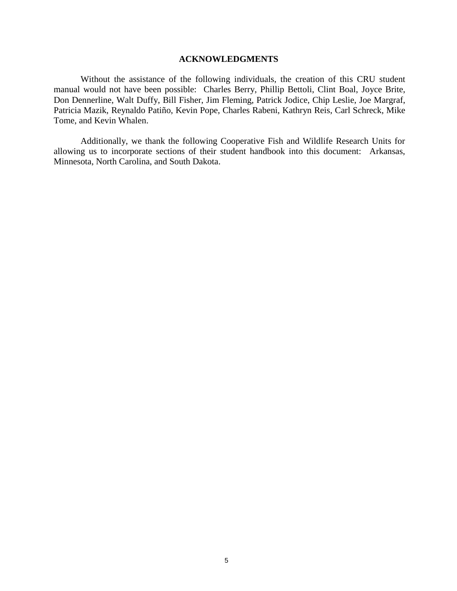# **ACKNOWLEDGMENTS**

Without the assistance of the following individuals, the creation of this CRU student manual would not have been possible: Charles Berry, Phillip Bettoli, Clint Boal, Joyce Brite, Don Dennerline, Walt Duffy, Bill Fisher, Jim Fleming, Patrick Jodice, Chip Leslie, Joe Margraf, Patricia Mazik, Reynaldo Patiño, Kevin Pope, Charles Rabeni, Kathryn Reis, Carl Schreck, Mike Tome, and Kevin Whalen.

Additionally, we thank the following Cooperative Fish and Wildlife Research Units for allowing us to incorporate sections of their student handbook into this document: Arkansas, Minnesota, North Carolina, and South Dakota.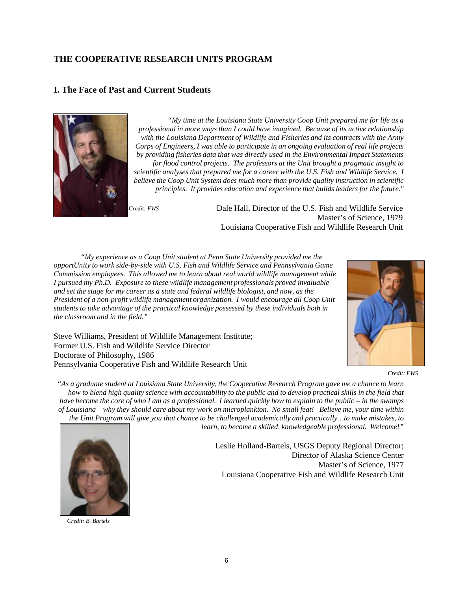# **THE COOPERATIVE RESEARCH UNITS PROGRAM**

# **I. The Face of Past and Current Students**



*"My time at the Louisiana State University Coop Unit prepared me for life as a professional in more ways than I could have imagined. Because of its active relationship with the Louisiana Department of Wildlife and Fisheries and its contracts with the Army Corps of Engineers, I was able to participate in an ongoing evaluation of real life projects by providing fisheries data that was directly used in the Environmental Impact Statements for flood control projects. The professors at the Unit brought a pragmatic insight to scientific analyses that prepared me for a career with the U.S. Fish and Wildlife Service. I believe the Coop Unit System does much more than provide quality instruction in scientific principles. It provides education and experience that builds leaders for the future."*

Steve Williams, President of Wildlife Management Institute;

Pennsylvania Cooperative Fish and Wildlife Research Unit

Former U.S. Fish and Wildlife Service Director

Doctorate of Philosophy, 1986

*Credit: FWS* Dale Hall, Director of the U.S. Fish and Wildlife Service Master's of Science, 1979 Louisiana Cooperative Fish and Wildlife Research Unit

*"My experience as a Coop Unit student at Penn State University provided me the opportUnity to work side-by-side with U.S. Fish and Wildlife Service and Pennsylvania Game Commission employees. This allowed me to learn about real world wildlife management while I pursued my Ph.D. Exposure to these wildlife management professionals proved invaluable and set the stage for my career as a state and federal wildlife biologist, and now, as the President of a non-profit wildlife management organization. I would encourage all Coop Unit students to take advantage of the practical knowledge possessed by these individuals both in the classroom and in the field."*



*Credit: FWS*

"As a graduate student at Louisiana State University, the Cooperative Research Program gave me a chance to learn how to blend high quality science with accountability to the public and to develop practical skills in the field that have become the core of who I am as a professional. I learned quickly how to explain to the public  $-$  in the swamps of Louisiana – why they should care about my work on microplankton. No small feat! Believe me, your time within the Unit Program will give you that chance to be challenged academically and practically...to make mistakes, to

*learn, to become a skilled, knowledgeable professional. Welcome!"*



*Credit: B. Bartels*

Leslie Holland-Bartels, USGS Deputy Regional Director; Director of Alaska Science Center Master's of Science, 1977 Louisiana Cooperative Fish and Wildlife Research Unit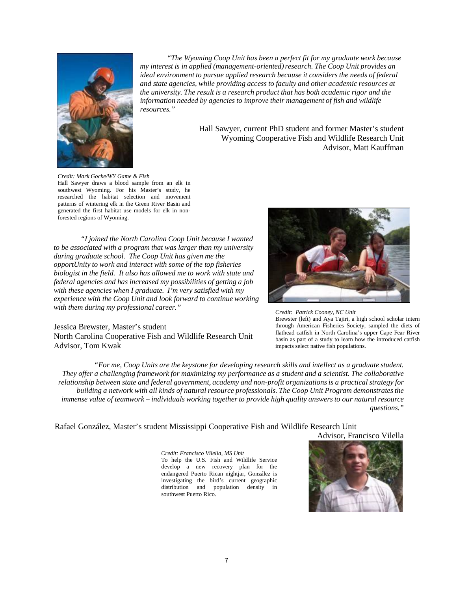

*"The Wyoming Coop Unit has been a perfect fit for my graduate work because my interest is in applied (management-oriented)research. The Coop Unit provides an ideal environment to pursue applied research because it considers the needs of federal and state agencies, while providing access to faculty and other academic resources at the university. The result is a research product that has both academic rigor and the information needed by agencies to improve their management of fish and wildlife resources."*

> Hall Sawyer, current PhD student and former Master's student Wyoming Cooperative Fish and Wildlife Research Unit Advisor, Matt Kauffman

*Credit: Mark Gocke/WY Game & Fish* Hall Sawyer draws a blood sample from an elk in southwest Wyoming. For his Master's study, he researched the habitat selection and movement patterns of wintering elk in the Green River Basin and generated the first habitat use models for elk in nonforested regions of Wyoming.

*"I joined the North Carolina Coop Unit because I wanted to be associated with a program that was larger than my university during graduate school. The Coop Unit has given me the opportUnity to work and interact with some of the top fisheries biologist in the field. It also has allowed me to work with state and federal agencies and has increased my possibilities of getting a job with these agencies when I graduate. I'm very satisfied with my experience with the Coop Unit and look forward to continue working with them during my professional career."*

#### Jessica Brewster, Master's student North Carolina Cooperative Fish and Wildlife Research Unit Advisor, Tom Kwak



*Credit: Patrick Cooney, NC Unit* Brewster (left) and Aya Tajiri, a high school scholar intern through American Fisheries Society, sampled the diets of flathead catfish in North Carolina's upper Cape Fear River basin as part of a study to learn how the introduced catfish impacts select native fish populations.

*"For me, Coop Units are the keystone for developing research skills and intellect as a graduate student. They offer a challenging framework for maximizing my performance as a student and a scientist. The collaborative relationship between state and federal government, academy and non-profit organizationsis a practical strategy for building a network with all kinds of natural resource professionals. The Coop Unit Program demonstrates the*  immense value of teamwork – individuals working together to provide high quality answers to our natural resource *questions."*

# Rafael González, Master's student Mississippi Cooperative Fish and Wildlife Research Unit

Advisor, Francisco Vilella

*Credit: Francisco Vilella, MS Unit* To help the U.S. Fish and Wildlife Service develop a new recovery plan for the endangered Puerto Rican nightjar, González is investigating the bird's current geographic distribution and population density in southwest Puerto Rico.

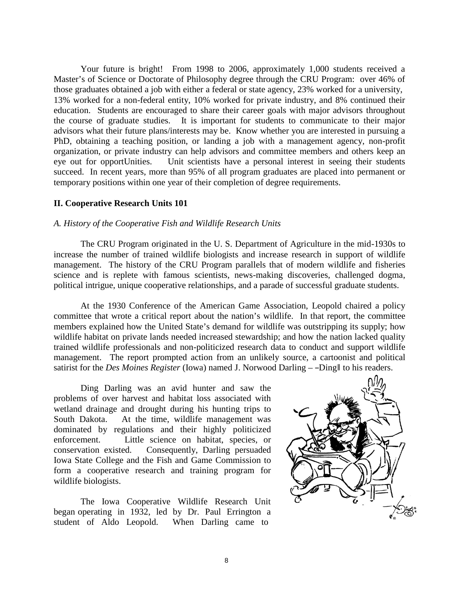Your future is bright! From 1998 to 2006, approximately 1,000 students received a Master's of Science or Doctorate of Philosophy degree through the CRU Program: over 46% of those graduates obtained a job with either a federal or state agency, 23% worked for a university, 13% worked for a non-federal entity, 10% worked for private industry, and 8% continued their education. Students are encouraged to share their career goals with major advisors throughout the course of graduate studies. It is important for students to communicate to their major advisors what their future plans/interests may be. Know whether you are interested in pursuing a PhD, obtaining a teaching position, or landing a job with a management agency, non-profit organization, or private industry can help advisors and committee members and others keep an eye out for opportUnities. Unit scientists have a personal interest in seeing their students succeed. In recent years, more than 95% of all program graduates are placed into permanent or temporary positions within one year of their completion of degree requirements.

# **II. Cooperative Research Units 101**

# *A. History of the Cooperative Fish and Wildlife Research Units*

The CRU Program originated in the U. S. Department of Agriculture in the mid-1930s to increase the number of trained wildlife biologists and increase research in support of wildlife management. The history of the CRU Program parallels that of modern wildlife and fisheries science and is replete with famous scientists, news-making discoveries, challenged dogma, political intrigue, unique cooperative relationships, and a parade of successful graduate students.

At the 1930 Conference of the American Game Association, Leopold chaired a policy committee that wrote a critical report about the nation's wildlife. In that report, the committee members explained how the United State's demand for wildlife was outstripping its supply; how wildlife habitat on private lands needed increased stewardship; and how the nation lacked quality trained wildlife professionals and non-politicized research data to conduct and support wildlife management. The report prompted action from an unlikely source, a cartoonist and political satirist for the *Des Moines Register* (Iowa) named J. Norwood Darling – -Ding to his readers.

Ding Darling was an avid hunter and saw the problems of over harvest and habitat loss associated with wetland drainage and drought during his hunting trips to South Dakota. At the time, wildlife management was dominated by regulations and their highly politicized enforcement. Little science on habitat, species, or conservation existed. Consequently, Darling persuaded Iowa State College and the Fish and Game Commission to form a cooperative research and training program for wildlife biologists.

The Iowa Cooperative Wildlife Research Unit began operating in 1932, led by Dr. Paul Errington a student of Aldo Leopold. When Darling came to

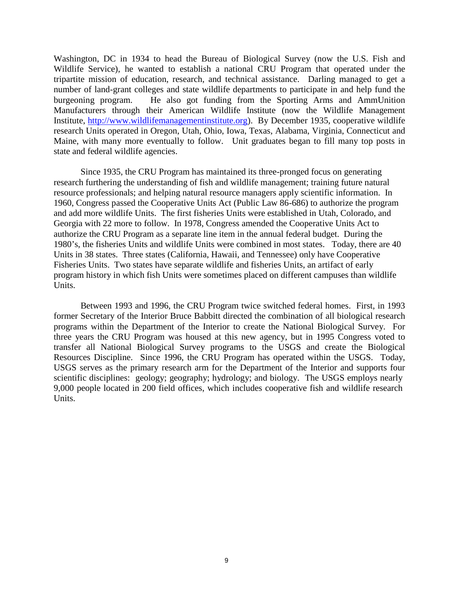Washington, DC in 1934 to head the Bureau of Biological Survey (now the U.S. Fish and Wildlife Service), he wanted to establish a national CRU Program that operated under the tripartite mission of education, research, and technical assistance. Darling managed to get a number of land-grant colleges and state wildlife departments to participate in and help fund the burgeoning program. He also got funding from the Sporting Arms and AmmUnition Manufacturers through their American Wildlife Institute (now the Wildlife Management Institute, [http://www.wildlifemanagementinstitute.org\)](http://www.wildlifemanagementinstitute.org/). By December 1935, cooperative wildlife research Units operated in Oregon, Utah, Ohio, Iowa, Texas, Alabama, Virginia, Connecticut and Maine, with many more eventually to follow. Unit graduates began to fill many top posts in state and federal wildlife agencies.

Since 1935, the CRU Program has maintained its three-pronged focus on generating research furthering the understanding of fish and wildlife management; training future natural resource professionals; and helping natural resource managers apply scientific information. In 1960, Congress passed the Cooperative Units Act (Public Law 86-686) to authorize the program and add more wildlife Units. The first fisheries Units were established in Utah, Colorado, and Georgia with 22 more to follow. In 1978, Congress amended the Cooperative Units Act to authorize the CRU Program as a separate line item in the annual federal budget. During the 1980's, the fisheries Units and wildlife Units were combined in most states. Today, there are 40 Units in 38 states. Three states (California, Hawaii, and Tennessee) only have Cooperative Fisheries Units. Two states have separate wildlife and fisheries Units, an artifact of early program history in which fish Units were sometimes placed on different campuses than wildlife Units.

Between 1993 and 1996, the CRU Program twice switched federal homes. First, in 1993 former Secretary of the Interior Bruce Babbitt directed the combination of all biological research programs within the Department of the Interior to create the National Biological Survey. For three years the CRU Program was housed at this new agency, but in 1995 Congress voted to transfer all National Biological Survey programs to the USGS and create the Biological Resources Discipline. Since 1996, the CRU Program has operated within the USGS. Today, USGS serves as the primary research arm for the Department of the Interior and supports four scientific disciplines: geology; geography; hydrology; and biology. The USGS employs nearly 9,000 people located in 200 field offices, which includes cooperative fish and wildlife research Units.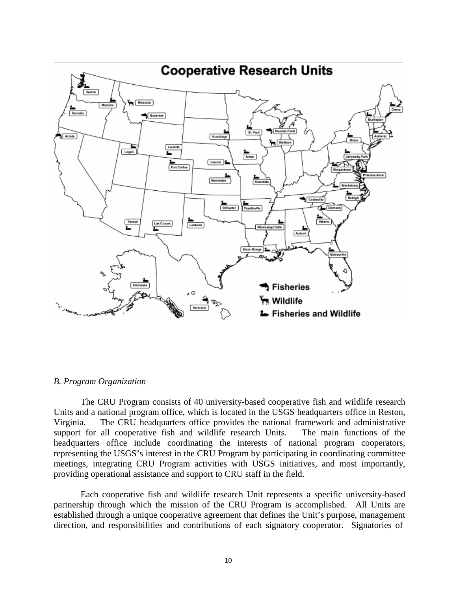

# *B. Program Organization*

The CRU Program consists of 40 university-based cooperative fish and wildlife research Units and a national program office, which is located in the USGS headquarters office in Reston, Virginia. The CRU headquarters office provides the national framework and administrative support for all cooperative fish and wildlife research Units. The main functions of the headquarters office include coordinating the interests of national program cooperators, representing the USGS's interest in the CRU Program by participating in coordinating committee meetings, integrating CRU Program activities with USGS initiatives, and most importantly, providing operational assistance and support to CRU staff in the field.

Each cooperative fish and wildlife research Unit represents a specific university-based partnership through which the mission of the CRU Program is accomplished. All Units are established through a unique cooperative agreement that defines the Unit's purpose, management direction, and responsibilities and contributions of each signatory cooperator. Signatories of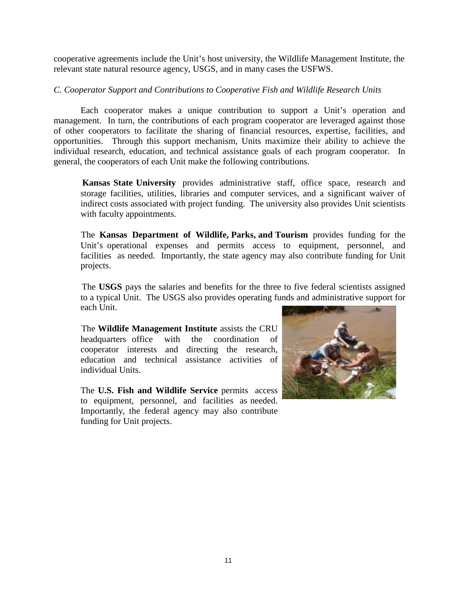cooperative agreements include the Unit's host university, the Wildlife Management Institute, the relevant state natural resource agency, USGS, and in many cases the USFWS.

# *C. Cooperator Support and Contributions to Cooperative Fish and Wildlife Research Units*

Each cooperator makes a unique contribution to support a Unit's operation and management. In turn, the contributions of each program cooperator are leveraged against those of other cooperators to facilitate the sharing of financial resources, expertise, facilities, and opportunities. Through this support mechanism, Units maximize their ability to achieve the individual research, education, and technical assistance goals of each program cooperator. In general, the cooperators of each Unit make the following contributions.

 **Kansas State University** provides administrative staff, office space, research and storage facilities, utilities, libraries and computer services, and a significant waiver of indirect costs associated with project funding. The university also provides Unit scientists with faculty appointments.

 The **Kansas Department of Wildlife, Parks, and Tourism** provides funding for the Unit's operational expenses and permits access to equipment, personnel, and facilities as needed. Importantly, the state agency may also contribute funding for Unit projects.

 The **USGS** pays the salaries and benefits for the three to five federal scientists assigned to a typical Unit. The USGS also provides operating funds and administrative support for each Unit.

 The **Wildlife Management Institute** assists the CRU headquarters office with the coordination of cooperator interests and directing the research, education and technical assistance activities of individual Units.

The **U.S. Fish and Wildlife Service** permits access to equipment, personnel, and facilities as needed. Importantly, the federal agency may also contribute funding for Unit projects.

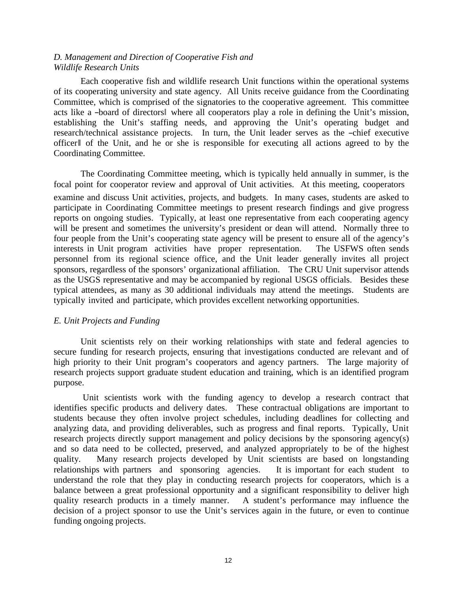# *D. Management and Direction of Cooperative Fish and Wildlife Research Units*

Each cooperative fish and wildlife research Unit functions within the operational systems of its cooperating university and state agency. All Units receive guidance from the Coordinating Committee, which is comprised of the signatories to the cooperative agreement. This committee acts like a ―board of directors‖ where all cooperators play a role in defining the Unit's mission, establishing the Unit's staffing needs, and approving the Unit's operating budget and research/technical assistance projects. In turn, the Unit leader serves as the ―chief executive officer‖ of the Unit, and he or she is responsible for executing all actions agreed to by the Coordinating Committee.

The Coordinating Committee meeting, which is typically held annually in summer, is the focal point for cooperator review and approval of Unit activities. At this meeting, cooperators examine and discuss Unit activities, projects, and budgets. In many cases, students are asked to participate in Coordinating Committee meetings to present research findings and give progress reports on ongoing studies. Typically, at least one representative from each cooperating agency will be present and sometimes the university's president or dean will attend. Normally three to four people from the Unit's cooperating state agency will be present to ensure all of the agency's interests in Unit program activities have proper representation. The USFWS often sends personnel from its regional science office, and the Unit leader generally invites all project sponsors, regardless of the sponsors' organizational affiliation. The CRU Unit supervisor attends as the USGS representative and may be accompanied by regional USGS officials. Besides these typical attendees, as many as 30 additional individuals may attend the meetings. Students are typically invited and participate, which provides excellent networking opportunities.

# *E. Unit Projects and Funding*

Unit scientists rely on their working relationships with state and federal agencies to secure funding for research projects, ensuring that investigations conducted are relevant and of high priority to their Unit program's cooperators and agency partners. The large majority of research projects support graduate student education and training, which is an identified program purpose.

Unit scientists work with the funding agency to develop a research contract that identifies specific products and delivery dates. These contractual obligations are important to students because they often involve project schedules, including deadlines for collecting and analyzing data, and providing deliverables, such as progress and final reports. Typically, Unit research projects directly support management and policy decisions by the sponsoring agency(s) and so data need to be collected, preserved, and analyzed appropriately to be of the highest quality. Many research projects developed by Unit scientists are based on longstanding relationships with partners and sponsoring agencies. It is important for each student to understand the role that they play in conducting research projects for cooperators, which is a balance between a great professional opportunity and a significant responsibility to deliver high quality research products in a timely manner. A student's performance may influence the decision of a project sponsor to use the Unit's services again in the future, or even to continue funding ongoing projects.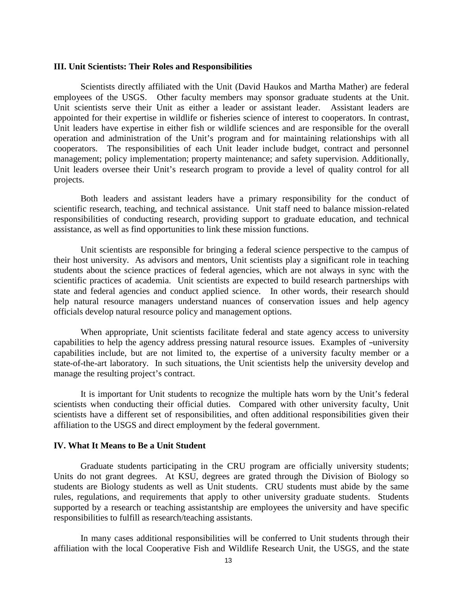#### **III. Unit Scientists: Their Roles and Responsibilities**

Scientists directly affiliated with the Unit (David Haukos and Martha Mather) are federal employees of the USGS. Other faculty members may sponsor graduate students at the Unit. Unit scientists serve their Unit as either a leader or assistant leader. Assistant leaders are appointed for their expertise in wildlife or fisheries science of interest to cooperators. In contrast, Unit leaders have expertise in either fish or wildlife sciences and are responsible for the overall operation and administration of the Unit's program and for maintaining relationships with all cooperators. The responsibilities of each Unit leader include budget, contract and personnel management; policy implementation; property maintenance; and safety supervision. Additionally, Unit leaders oversee their Unit's research program to provide a level of quality control for all projects.

Both leaders and assistant leaders have a primary responsibility for the conduct of scientific research, teaching, and technical assistance. Unit staff need to balance mission-related responsibilities of conducting research, providing support to graduate education, and technical assistance, as well as find opportunities to link these mission functions.

Unit scientists are responsible for bringing a federal science perspective to the campus of their host university. As advisors and mentors, Unit scientists play a significant role in teaching students about the science practices of federal agencies, which are not always in sync with the scientific practices of academia. Unit scientists are expected to build research partnerships with state and federal agencies and conduct applied science. In other words, their research should help natural resource managers understand nuances of conservation issues and help agency officials develop natural resource policy and management options.

When appropriate, Unit scientists facilitate federal and state agency access to university capabilities to help the agency address pressing natural resource issues. Examples of –university capabilities include, but are not limited to, the expertise of a university faculty member or a state-of-the-art laboratory. In such situations, the Unit scientists help the university develop and manage the resulting project's contract.

It is important for Unit students to recognize the multiple hats worn by the Unit's federal scientists when conducting their official duties. Compared with other university faculty, Unit scientists have a different set of responsibilities, and often additional responsibilities given their affiliation to the USGS and direct employment by the federal government.

#### **IV. What It Means to Be a Unit Student**

Graduate students participating in the CRU program are officially university students; Units do not grant degrees. At KSU, degrees are grated through the Division of Biology so students are Biology students as well as Unit students. CRU students must abide by the same rules, regulations, and requirements that apply to other university graduate students. Students supported by a research or teaching assistantship are employees the university and have specific responsibilities to fulfill as research/teaching assistants.

In many cases additional responsibilities will be conferred to Unit students through their affiliation with the local Cooperative Fish and Wildlife Research Unit, the USGS, and the state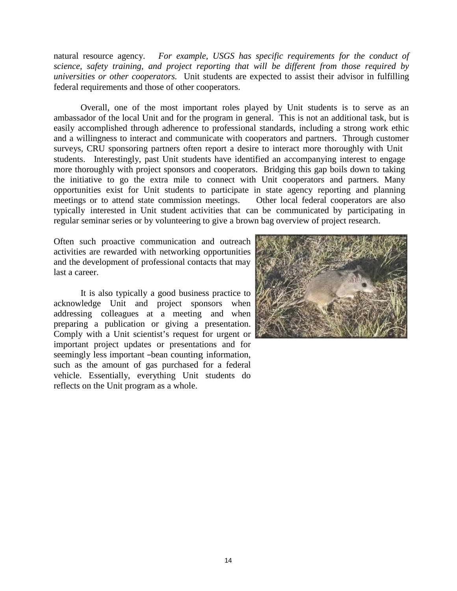natural resource agency. *For example, USGS has specific requirements for the conduct of science, safety training, and project reporting that will be different from those required by universities or other cooperators.* Unit students are expected to assist their advisor in fulfilling federal requirements and those of other cooperators.

Overall, one of the most important roles played by Unit students is to serve as an ambassador of the local Unit and for the program in general. This is not an additional task, but is easily accomplished through adherence to professional standards, including a strong work ethic and a willingness to interact and communicate with cooperators and partners. Through customer surveys, CRU sponsoring partners often report a desire to interact more thoroughly with Unit students. Interestingly, past Unit students have identified an accompanying interest to engage more thoroughly with project sponsors and cooperators. Bridging this gap boils down to taking the initiative to go the extra mile to connect with Unit cooperators and partners. Many opportunities exist for Unit students to participate in state agency reporting and planning meetings or to attend state commission meetings. Other local federal cooperators are also typically interested in Unit student activities that can be communicated by participating in regular seminar series or by volunteering to give a brown bag overview of project research.

Often such proactive communication and outreach activities are rewarded with networking opportunities and the development of professional contacts that may last a career.

It is also typically a good business practice to acknowledge Unit and project sponsors when addressing colleagues at a meeting and when preparing a publication or giving a presentation. Comply with a Unit scientist's request for urgent or important project updates or presentations and for seemingly less important -bean counting information, such as the amount of gas purchased for a federal vehicle. Essentially, everything Unit students do reflects on the Unit program as a whole.

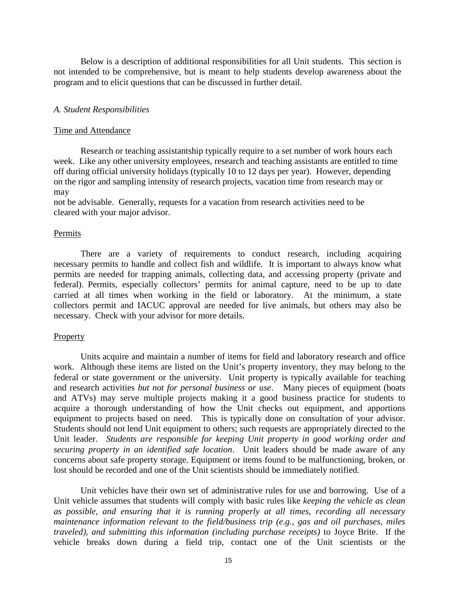Below is a description of additional responsibilities for all Unit students. This section is not intended to be comprehensive, but is meant to help students develop awareness about the program and to elicit questions that can be discussed in further detail.

#### *A. Student Responsibilities*

#### Time and Attendance

Research or teaching assistantship typically require to a set number of work hours each week. Like any other university employees, research and teaching assistants are entitled to time off during official university holidays (typically 10 to 12 days per year). However, depending on the rigor and sampling intensity of research projects, vacation time from research may or may

not be advisable. Generally, requests for a vacation from research activities need to be cleared with your major advisor.

# Permits

There are a variety of requirements to conduct research, including acquiring necessary permits to handle and collect fish and wildlife. It is important to always know what permits are needed for trapping animals, collecting data, and accessing property (private and federal). Permits, especially collectors' permits for animal capture, need to be up to date carried at all times when working in the field or laboratory. At the minimum, a state collectors permit and IACUC approval are needed for live animals, but others may also be necessary. Check with your advisor for more details.

#### Property

Units acquire and maintain a number of items for field and laboratory research and office work. Although these items are listed on the Unit's property inventory, they may belong to the federal or state government or the university. Unit property is typically available for teaching and research activities *but not for personal business or use*. Many pieces of equipment (boats and ATVs) may serve multiple projects making it a good business practice for students to acquire a thorough understanding of how the Unit checks out equipment, and apportions equipment to projects based on need. This is typically done on consultation of your advisor. Students should not lend Unit equipment to others; such requests are appropriately directed to the Unit leader. *Students are responsible for keeping Unit property in good working order and securing property in an identified safe location*. Unit leaders should be made aware of any concerns about safe property storage. Equipment or items found to be malfunctioning, broken, or lost should be recorded and one of the Unit scientists should be immediately notified.

Unit vehicles have their own set of administrative rules for use and borrowing. Use of a Unit vehicle assumes that students will comply with basic rules like *keeping the vehicle as clean as possible, and ensuring that it is running properly at all times, recording all necessary maintenance information relevant to the field/business trip (e.g., gas and oil purchases, miles traveled), and submitting this information (including purchase receipts)* to Joyce Brite. If the vehicle breaks down during a field trip, contact one of the Unit scientists or the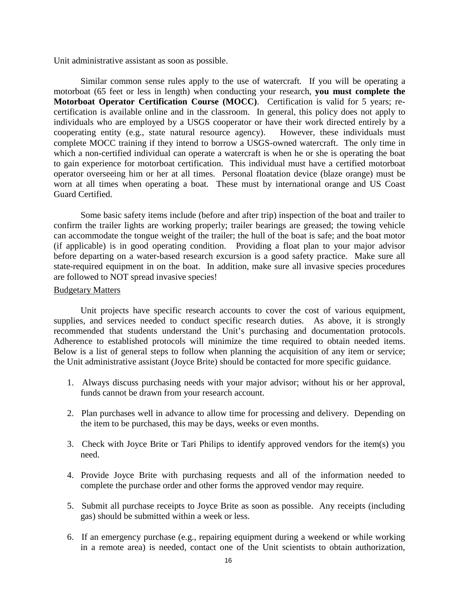Unit administrative assistant as soon as possible.

Similar common sense rules apply to the use of watercraft. If you will be operating a motorboat (65 feet or less in length) when conducting your research, **you must complete the Motorboat Operator Certification Course (MOCC)**. Certification is valid for 5 years; recertification is available online and in the classroom. In general, this policy does not apply to individuals who are employed by a USGS cooperator or have their work directed entirely by a cooperating entity (e.g., state natural resource agency). However, these individuals must complete MOCC training if they intend to borrow a USGS-owned watercraft. The only time in which a non-certified individual can operate a watercraft is when he or she is operating the boat to gain experience for motorboat certification. This individual must have a certified motorboat operator overseeing him or her at all times. Personal floatation device (blaze orange) must be worn at all times when operating a boat. These must by international orange and US Coast Guard Certified.

Some basic safety items include (before and after trip) inspection of the boat and trailer to confirm the trailer lights are working properly; trailer bearings are greased; the towing vehicle can accommodate the tongue weight of the trailer; the hull of the boat is safe; and the boat motor (if applicable) is in good operating condition. Providing a float plan to your major advisor before departing on a water-based research excursion is a good safety practice. Make sure all state-required equipment in on the boat. In addition, make sure all invasive species procedures are followed to NOT spread invasive species!

#### Budgetary Matters

Unit projects have specific research accounts to cover the cost of various equipment, supplies, and services needed to conduct specific research duties. As above, it is strongly recommended that students understand the Unit's purchasing and documentation protocols. Adherence to established protocols will minimize the time required to obtain needed items. Below is a list of general steps to follow when planning the acquisition of any item or service; the Unit administrative assistant (Joyce Brite) should be contacted for more specific guidance.

- 1. Always discuss purchasing needs with your major advisor; without his or her approval, funds cannot be drawn from your research account.
- 2. Plan purchases well in advance to allow time for processing and delivery. Depending on the item to be purchased, this may be days, weeks or even months.
- 3. Check with Joyce Brite or Tari Philips to identify approved vendors for the item(s) you need.
- 4. Provide Joyce Brite with purchasing requests and all of the information needed to complete the purchase order and other forms the approved vendor may require.
- 5. Submit all purchase receipts to Joyce Brite as soon as possible. Any receipts (including gas) should be submitted within a week or less.
- 6. If an emergency purchase (e.g., repairing equipment during a weekend or while working in a remote area) is needed, contact one of the Unit scientists to obtain authorization,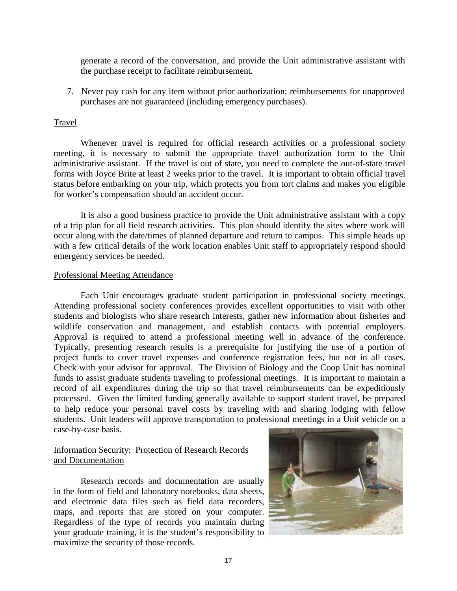generate a record of the conversation, and provide the Unit administrative assistant with the purchase receipt to facilitate reimbursement.

7. Never pay cash for any item without prior authorization; reimbursements for unapproved purchases are not guaranteed (including emergency purchases).

# Travel

Whenever travel is required for official research activities or a professional society meeting, it is necessary to submit the appropriate travel authorization form to the Unit administrative assistant. If the travel is out of state, you need to complete the out-of-state travel forms with Joyce Brite at least 2 weeks prior to the travel. It is important to obtain official travel status before embarking on your trip, which protects you from tort claims and makes you eligible for worker's compensation should an accident occur.

It is also a good business practice to provide the Unit administrative assistant with a copy of a trip plan for all field research activities. This plan should identify the sites where work will occur along with the date/times of planned departure and return to campus. This simple heads up with a few critical details of the work location enables Unit staff to appropriately respond should emergency services be needed.

#### Professional Meeting Attendance

Each Unit encourages graduate student participation in professional society meetings. Attending professional society conferences provides excellent opportunities to visit with other students and biologists who share research interests, gather new information about fisheries and wildlife conservation and management, and establish contacts with potential employers. Approval is required to attend a professional meeting well in advance of the conference. Typically, presenting research results is a prerequisite for justifying the use of a portion of project funds to cover travel expenses and conference registration fees, but not in all cases. Check with your advisor for approval. The Division of Biology and the Coop Unit has nominal funds to assist graduate students traveling to professional meetings. It is important to maintain a record of all expenditures during the trip so that travel reimbursements can be expeditiously processed. Given the limited funding generally available to support student travel, be prepared to help reduce your personal travel costs by traveling with and sharing lodging with fellow students. Unit leaders will approve transportation to professional meetings in a Unit vehicle on a case-by-case basis.

# Information Security: Protection of Research Records and Documentation

Research records and documentation are usually in the form of field and laboratory notebooks, data sheets, and electronic data files such as field data recorders, maps, and reports that are stored on your computer. Regardless of the type of records you maintain during your graduate training, it is the student's responsibility to maximize the security of those records. *.*

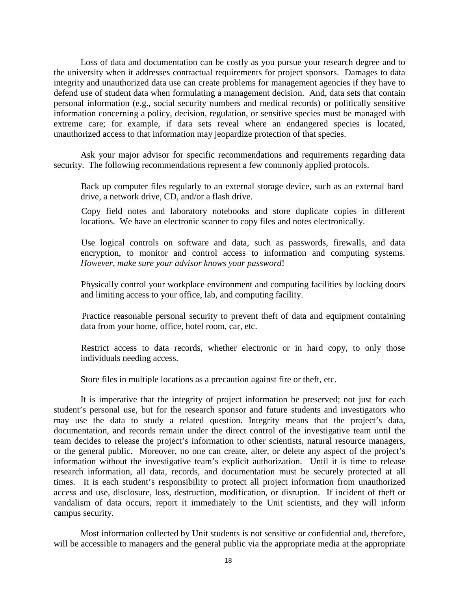Loss of data and documentation can be costly as you pursue your research degree and to the university when it addresses contractual requirements for project sponsors. Damages to data integrity and unauthorized data use can create problems for management agencies if they have to defend use of student data when formulating a management decision. And, data sets that contain personal information (e.g., social security numbers and medical records) or politically sensitive information concerning a policy, decision, regulation, or sensitive species must be managed with extreme care; for example, if data sets reveal where an endangered species is located, unauthorized access to that information may jeopardize protection of that species.

Ask your major advisor for specific recommendations and requirements regarding data security. The following recommendations represent a few commonly applied protocols.

 Back up computer files regularly to an external storage device, such as an external hard drive, a network drive, CD, and/or a flash drive.

 Copy field notes and laboratory notebooks and store duplicate copies in different locations. We have an electronic scanner to copy files and notes electronically.

 Use logical controls on software and data, such as passwords, firewalls, and data encryption, to monitor and control access to information and computing systems. *However, make sure your advisor knows your password*!

 Physically control your workplace environment and computing facilities by locking doors and limiting access to your office, lab, and computing facility.

 Practice reasonable personal security to prevent theft of data and equipment containing data from your home, office, hotel room, car, etc.

 Restrict access to data records, whether electronic or in hard copy, to only those individuals needing access.

Store files in multiple locations as a precaution against fire or theft, etc.

It is imperative that the integrity of project information be preserved; not just for each student's personal use, but for the research sponsor and future students and investigators who may use the data to study a related question. Integrity means that the project's data, documentation, and records remain under the direct control of the investigative team until the team decides to release the project's information to other scientists, natural resource managers, or the general public. Moreover, no one can create, alter, or delete any aspect of the project's information without the investigative team's explicit authorization. Until it is time to release research information, all data, records, and documentation must be securely protected at all times. It is each student's responsibility to protect all project information from unauthorized access and use, disclosure, loss, destruction, modification, or disruption. If incident of theft or vandalism of data occurs, report it immediately to the Unit scientists, and they will inform campus security.

Most information collected by Unit students is not sensitive or confidential and, therefore, will be accessible to managers and the general public via the appropriate media at the appropriate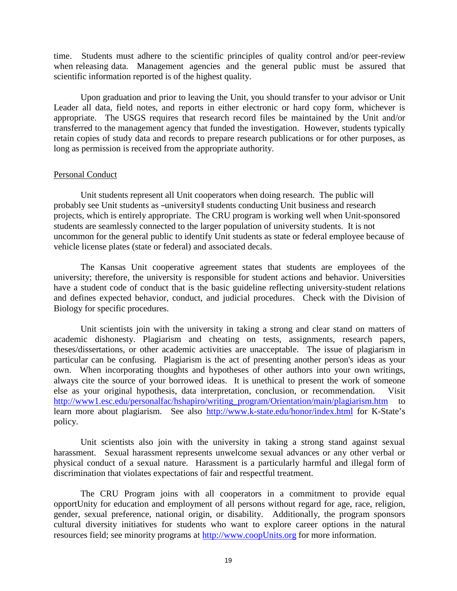time. Students must adhere to the scientific principles of quality control and/or peer-review when releasing data. Management agencies and the general public must be assured that scientific information reported is of the highest quality.

Upon graduation and prior to leaving the Unit, you should transfer to your advisor or Unit Leader all data, field notes, and reports in either electronic or hard copy form, whichever is appropriate. The USGS requires that research record files be maintained by the Unit and/or transferred to the management agency that funded the investigation. However, students typically retain copies of study data and records to prepare research publications or for other purposes, as long as permission is received from the appropriate authority.

#### Personal Conduct

Unit students represent all Unit cooperators when doing research. The public will probably see Unit students as -university students conducting Unit business and research projects, which is entirely appropriate. The CRU program is working well when Unit-sponsored students are seamlessly connected to the larger population of university students. It is not uncommon for the general public to identify Unit students as state or federal employee because of vehicle license plates (state or federal) and associated decals.

The Kansas Unit cooperative agreement states that students are employees of the university; therefore, the university is responsible for student actions and behavior. Universities have a student code of conduct that is the basic guideline reflecting university-student relations and defines expected behavior, conduct, and judicial procedures. Check with the Division of Biology for specific procedures.

Unit scientists join with the university in taking a strong and clear stand on matters of academic dishonesty. Plagiarism and cheating on tests, assignments, research papers, theses/dissertations, or other academic activities are unacceptable. The issue of plagiarism in particular can be confusing. Plagiarism is the act of presenting another person's ideas as your own. When incorporating thoughts and hypotheses of other authors into your own writings, always cite the source of your borrowed ideas. It is unethical to present the work of someone else as your original hypothesis, data interpretation, conclusion, or recommendation. Visit [http://www1.esc.edu/personalfac/hshapiro/writing\\_program/Orientation/main/plagiarism.htm](http://www1.esc.edu/personalfac/hshapiro/writing_program/Orientation/main/plagiarism.htm) to learn more about plagiarism. See also <http://www.k-state.edu/honor/index.html> for K-State's policy.

Unit scientists also join with the university in taking a strong stand against sexual harassment. Sexual harassment represents unwelcome sexual advances or any other verbal or physical conduct of a sexual nature. Harassment is a particularly harmful and illegal form of discrimination that violates expectations of fair and respectful treatment.

The CRU Program joins with all cooperators in a commitment to provide equal opportUnity for education and employment of all persons without regard for age, race, religion, gender, sexual preference, national origin, or disability. Additionally, the program sponsors cultural diversity initiatives for students who want to explore career options in the natural resources field; see minority programs at [http://www.coopUnits.org](http://www.coopunits.org/) for more information.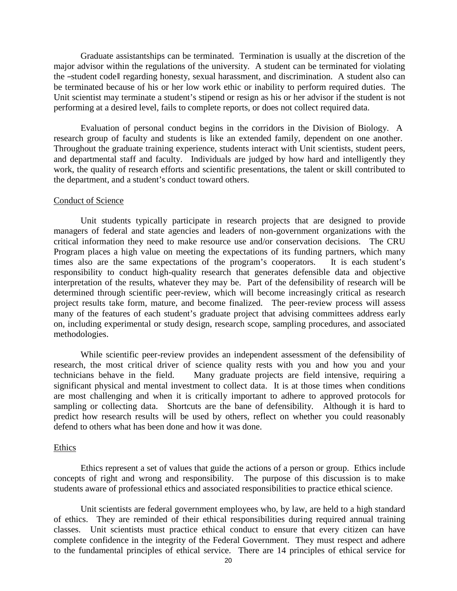Graduate assistantships can be terminated. Termination is usually at the discretion of the major advisor within the regulations of the university. A student can be terminated for violating the ―student code‖ regarding honesty, sexual harassment, and discrimination. A student also can be terminated because of his or her low work ethic or inability to perform required duties. The Unit scientist may terminate a student's stipend or resign as his or her advisor if the student is not performing at a desired level, fails to complete reports, or does not collect required data.

Evaluation of personal conduct begins in the corridors in the Division of Biology. A research group of faculty and students is like an extended family, dependent on one another. Throughout the graduate training experience, students interact with Unit scientists, student peers, and departmental staff and faculty. Individuals are judged by how hard and intelligently they work, the quality of research efforts and scientific presentations, the talent or skill contributed to the department, and a student's conduct toward others.

#### Conduct of Science

Unit students typically participate in research projects that are designed to provide managers of federal and state agencies and leaders of non-government organizations with the critical information they need to make resource use and/or conservation decisions. The CRU Program places a high value on meeting the expectations of its funding partners, which many times also are the same expectations of the program's cooperators. It is each student's responsibility to conduct high-quality research that generates defensible data and objective interpretation of the results, whatever they may be. Part of the defensibility of research will be determined through scientific peer-review, which will become increasingly critical as research project results take form, mature, and become finalized. The peer-review process will assess many of the features of each student's graduate project that advising committees address early on, including experimental or study design, research scope, sampling procedures, and associated methodologies.

While scientific peer-review provides an independent assessment of the defensibility of research, the most critical driver of science quality rests with you and how you and your technicians behave in the field. Many graduate projects are field intensive, requiring a significant physical and mental investment to collect data. It is at those times when conditions are most challenging and when it is critically important to adhere to approved protocols for sampling or collecting data. Shortcuts are the bane of defensibility. Although it is hard to predict how research results will be used by others, reflect on whether you could reasonably defend to others what has been done and how it was done.

# Ethics

Ethics represent a set of values that guide the actions of a person or group. Ethics include concepts of right and wrong and responsibility. The purpose of this discussion is to make students aware of professional ethics and associated responsibilities to practice ethical science.

Unit scientists are federal government employees who, by law, are held to a high standard of ethics. They are reminded of their ethical responsibilities during required annual training classes. Unit scientists must practice ethical conduct to ensure that every citizen can have complete confidence in the integrity of the Federal Government. They must respect and adhere to the fundamental principles of ethical service. There are 14 principles of ethical service for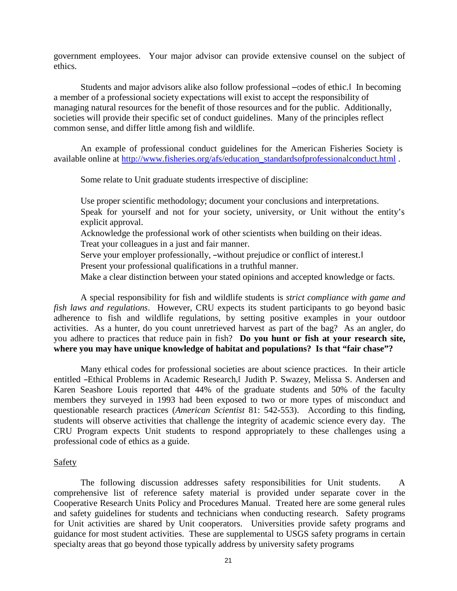government employees. Your major advisor can provide extensive counsel on the subject of ethics.

Students and major advisors alike also follow professional ―codes of ethic.‖ In becoming a member of a professional society expectations will exist to accept the responsibility of managing natural resources for the benefit of those resources and for the public. Additionally, societies will provide their specific set of conduct guidelines. Many of the principles reflect common sense, and differ little among fish and wildlife.

An example of professional conduct guidelines for the American Fisheries Society is available online at [http://www.fisheries.org/afs/education\\_standardsofprofessionalconduct.html](http://www.fisheries.org/afs/education_standardsofprofessionalconduct.html) .

Some relate to Unit graduate students irrespective of discipline:

Use proper scientific methodology; document your conclusions and interpretations. Speak for yourself and not for your society, university, or Unit without the entity's explicit approval.

Acknowledge the professional work of other scientists when building on their ideas. Treat your colleagues in a just and fair manner.

Serve your employer professionally, -without prejudice or conflict of interest.

Present your professional qualifications in a truthful manner.

Make a clear distinction between your stated opinions and accepted knowledge or facts.

A special responsibility for fish and wildlife students is *strict compliance with game and fish laws and regulations*. However, CRU expects its student participants to go beyond basic adherence to fish and wildlife regulations, by setting positive examples in your outdoor activities. As a hunter, do you count unretrieved harvest as part of the bag? As an angler, do you adhere to practices that reduce pain in fish? **Do you hunt or fish at your research site, where you may have unique knowledge of habitat and populations? Is that "fair chase"?**

Many ethical codes for professional societies are about science practices. In their article entitled ―Ethical Problems in Academic Research,‖ Judith P. Swazey, Melissa S. Andersen and Karen Seashore Louis reported that 44% of the graduate students and 50% of the faculty members they surveyed in 1993 had been exposed to two or more types of misconduct and questionable research practices (*American Scientist* 81: 542-553). According to this finding, students will observe activities that challenge the integrity of academic science every day. The CRU Program expects Unit students to respond appropriately to these challenges using a professional code of ethics as a guide.

# Safety

The following discussion addresses safety responsibilities for Unit students. A comprehensive list of reference safety material is provided under separate cover in the Cooperative Research Units Policy and Procedures Manual. Treated here are some general rules and safety guidelines for students and technicians when conducting research. Safety programs for Unit activities are shared by Unit cooperators. Universities provide safety programs and guidance for most student activities. These are supplemental to USGS safety programs in certain specialty areas that go beyond those typically address by university safety programs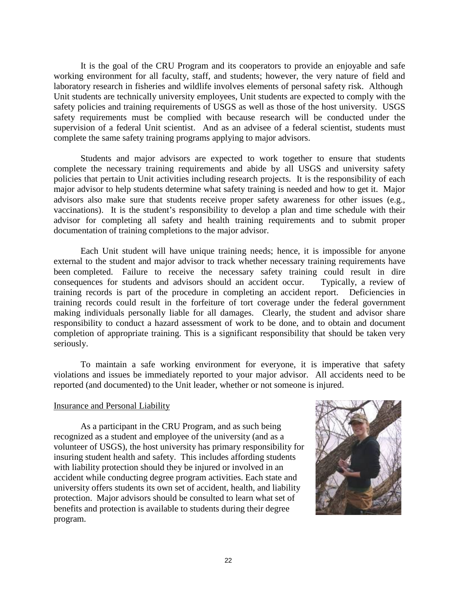It is the goal of the CRU Program and its cooperators to provide an enjoyable and safe working environment for all faculty, staff, and students; however, the very nature of field and laboratory research in fisheries and wildlife involves elements of personal safety risk. Although Unit students are technically university employees, Unit students are expected to comply with the safety policies and training requirements of USGS as well as those of the host university. USGS safety requirements must be complied with because research will be conducted under the supervision of a federal Unit scientist. And as an advisee of a federal scientist, students must complete the same safety training programs applying to major advisors.

Students and major advisors are expected to work together to ensure that students complete the necessary training requirements and abide by all USGS and university safety policies that pertain to Unit activities including research projects. It is the responsibility of each major advisor to help students determine what safety training is needed and how to get it. Major advisors also make sure that students receive proper safety awareness for other issues (e.g., vaccinations). It is the student's responsibility to develop a plan and time schedule with their advisor for completing all safety and health training requirements and to submit proper documentation of training completions to the major advisor.

Each Unit student will have unique training needs; hence, it is impossible for anyone external to the student and major advisor to track whether necessary training requirements have been completed. Failure to receive the necessary safety training could result in dire consequences for students and advisors should an accident occur. Typically, a review of training records is part of the procedure in completing an accident report. Deficiencies in training records could result in the forfeiture of tort coverage under the federal government making individuals personally liable for all damages. Clearly, the student and advisor share responsibility to conduct a hazard assessment of work to be done, and to obtain and document completion of appropriate training. This is a significant responsibility that should be taken very seriously.

To maintain a safe working environment for everyone, it is imperative that safety violations and issues be immediately reported to your major advisor. All accidents need to be reported (and documented) to the Unit leader, whether or not someone is injured.

# Insurance and Personal Liability

As a participant in the CRU Program, and as such being recognized as a student and employee of the university (and as a volunteer of USGS), the host university has primary responsibility for insuring student health and safety. This includes affording students with liability protection should they be injured or involved in an accident while conducting degree program activities. Each state and university offers students its own set of accident, health, and liability protection. Major advisors should be consulted to learn what set of benefits and protection is available to students during their degree program.

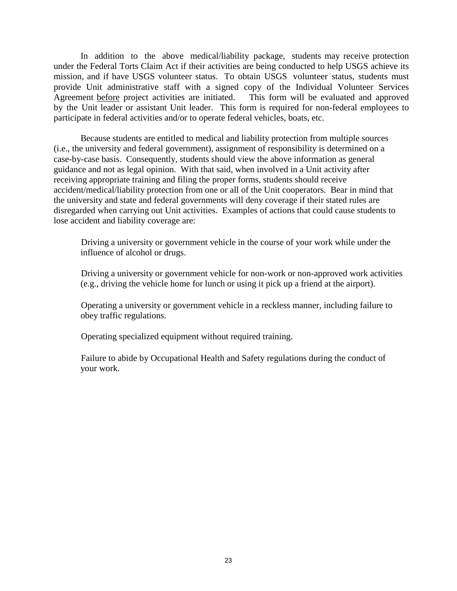In addition to the above medical/liability package, students may receive protection under the Federal Torts Claim Act if their activities are being conducted to help USGS achieve its mission, and if have USGS volunteer status. To obtain USGS volunteer status, students must provide Unit administrative staff with a signed copy of the Individual Volunteer Services Agreement before project activities are initiated. This form will be evaluated and approved by the Unit leader or assistant Unit leader. This form is required for non-federal employees to participate in federal activities and/or to operate federal vehicles, boats, etc.

Because students are entitled to medical and liability protection from multiple sources (i.e., the university and federal government), assignment of responsibility is determined on a case-by-case basis. Consequently, students should view the above information as general guidance and not as legal opinion. With that said, when involved in a Unit activity after receiving appropriate training and filing the proper forms, students should receive accident/medical/liability protection from one or all of the Unit cooperators. Bear in mind that the university and state and federal governments will deny coverage if their stated rules are disregarded when carrying out Unit activities. Examples of actions that could cause students to lose accident and liability coverage are:

 Driving a university or government vehicle in the course of your work while under the influence of alcohol or drugs.

 Driving a university or government vehicle for non-work or non-approved work activities (e.g., driving the vehicle home for lunch or using it pick up a friend at the airport).

 Operating a university or government vehicle in a reckless manner, including failure to obey traffic regulations.

Operating specialized equipment without required training.

 Failure to abide by Occupational Health and Safety regulations during the conduct of your work.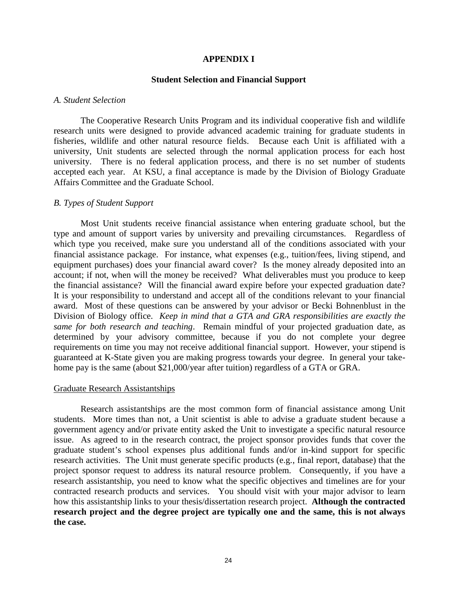### **APPENDIX I**

#### **Student Selection and Financial Support**

#### *A. Student Selection*

The Cooperative Research Units Program and its individual cooperative fish and wildlife research units were designed to provide advanced academic training for graduate students in fisheries, wildlife and other natural resource fields. Because each Unit is affiliated with a university, Unit students are selected through the normal application process for each host university. There is no federal application process, and there is no set number of students accepted each year. At KSU, a final acceptance is made by the Division of Biology Graduate Affairs Committee and the Graduate School.

#### *B. Types of Student Support*

Most Unit students receive financial assistance when entering graduate school, but the type and amount of support varies by university and prevailing circumstances. Regardless of which type you received, make sure you understand all of the conditions associated with your financial assistance package. For instance, what expenses (e.g., tuition/fees, living stipend, and equipment purchases) does your financial award cover? Is the money already deposited into an account; if not, when will the money be received? What deliverables must you produce to keep the financial assistance? Will the financial award expire before your expected graduation date? It is your responsibility to understand and accept all of the conditions relevant to your financial award. Most of these questions can be answered by your advisor or Becki Bohnenblust in the Division of Biology office. *Keep in mind that a GTA and GRA responsibilities are exactly the same for both research and teaching*. Remain mindful of your projected graduation date, as determined by your advisory committee, because if you do not complete your degree requirements on time you may not receive additional financial support. However, your stipend is guaranteed at K-State given you are making progress towards your degree. In general your takehome pay is the same (about \$21,000/year after tuition) regardless of a GTA or GRA.

#### Graduate Research Assistantships

Research assistantships are the most common form of financial assistance among Unit students. More times than not, a Unit scientist is able to advise a graduate student because a government agency and/or private entity asked the Unit to investigate a specific natural resource issue. As agreed to in the research contract, the project sponsor provides funds that cover the graduate student's school expenses plus additional funds and/or in-kind support for specific research activities. The Unit must generate specific products (e.g., final report, database) that the project sponsor request to address its natural resource problem. Consequently, if you have a research assistantship, you need to know what the specific objectives and timelines are for your contracted research products and services. You should visit with your major advisor to learn how this assistantship links to your thesis/dissertation research project. **Although the contracted research project and the degree project are typically one and the same, this is not always the case.**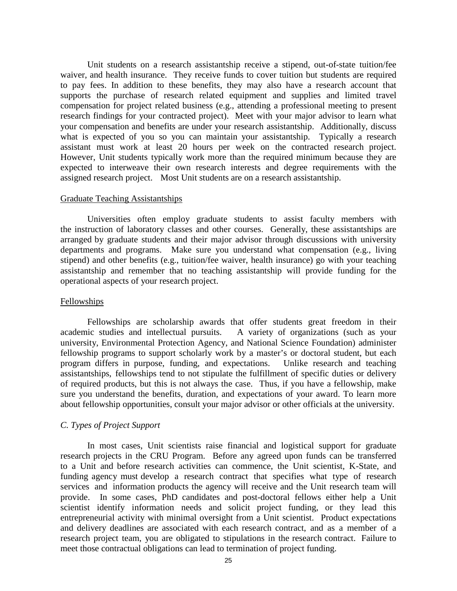Unit students on a research assistantship receive a stipend, out-of-state tuition/fee waiver, and health insurance. They receive funds to cover tuition but students are required to pay fees. In addition to these benefits, they may also have a research account that supports the purchase of research related equipment and supplies and limited travel compensation for project related business (e.g., attending a professional meeting to present research findings for your contracted project). Meet with your major advisor to learn what your compensation and benefits are under your research assistantship. Additionally, discuss what is expected of you so you can maintain your assistantship. Typically a research assistant must work at least 20 hours per week on the contracted research project. However, Unit students typically work more than the required minimum because they are expected to interweave their own research interests and degree requirements with the assigned research project. Most Unit students are on a research assistantship.

#### Graduate Teaching Assistantships

Universities often employ graduate students to assist faculty members with the instruction of laboratory classes and other courses. Generally, these assistantships are arranged by graduate students and their major advisor through discussions with university departments and programs. Make sure you understand what compensation (e.g., living stipend) and other benefits (e.g., tuition/fee waiver, health insurance) go with your teaching assistantship and remember that no teaching assistantship will provide funding for the operational aspects of your research project.

# Fellowships

Fellowships are scholarship awards that offer students great freedom in their academic studies and intellectual pursuits. A variety of organizations (such as your university, Environmental Protection Agency, and National Science Foundation) administer fellowship programs to support scholarly work by a master's or doctoral student, but each program differs in purpose, funding, and expectations. Unlike research and teaching assistantships, fellowships tend to not stipulate the fulfillment of specific duties or delivery of required products, but this is not always the case. Thus, if you have a fellowship, make sure you understand the benefits, duration, and expectations of your award. To learn more about fellowship opportunities, consult your major advisor or other officials at the university.

# *C. Types of Project Support*

In most cases, Unit scientists raise financial and logistical support for graduate research projects in the CRU Program. Before any agreed upon funds can be transferred to a Unit and before research activities can commence, the Unit scientist, K-State, and funding agency must develop a research contract that specifies what type of research services and information products the agency will receive and the Unit research team will provide. In some cases, PhD candidates and post-doctoral fellows either help a Unit scientist identify information needs and solicit project funding, or they lead this entrepreneurial activity with minimal oversight from a Unit scientist. Product expectations and delivery deadlines are associated with each research contract, and as a member of a research project team, you are obligated to stipulations in the research contract. Failure to meet those contractual obligations can lead to termination of project funding.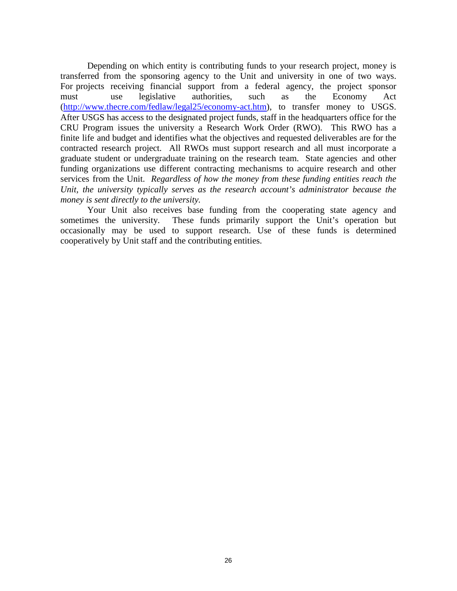Depending on which entity is contributing funds to your research project, money is transferred from the sponsoring agency to the Unit and university in one of two ways. For projects receiving financial support from a federal agency, the project sponsor must use legislative authorities, such as the Economy Act [\(http://www.thecre.com/fedlaw/legal25/economy-act.htm\)](http://www.thecre.com/fedlaw/legal25/economy-act.htm), to transfer money to USGS. After USGS has access to the designated project funds, staff in the headquarters office for the CRU Program issues the university a Research Work Order (RWO). This RWO has a finite life and budget and identifies what the objectives and requested deliverables are for the contracted research project. All RWOs must support research and all must incorporate a graduate student or undergraduate training on the research team. State agencies and other funding organizations use different contracting mechanisms to acquire research and other services from the Unit. *Regardless of how the money from these funding entities reach the Unit, the university typically serves as the research account's administrator because the money is sent directly to the university.*

Your Unit also receives base funding from the cooperating state agency and sometimes the university. These funds primarily support the Unit's operation but occasionally may be used to support research. Use of these funds is determined cooperatively by Unit staff and the contributing entities.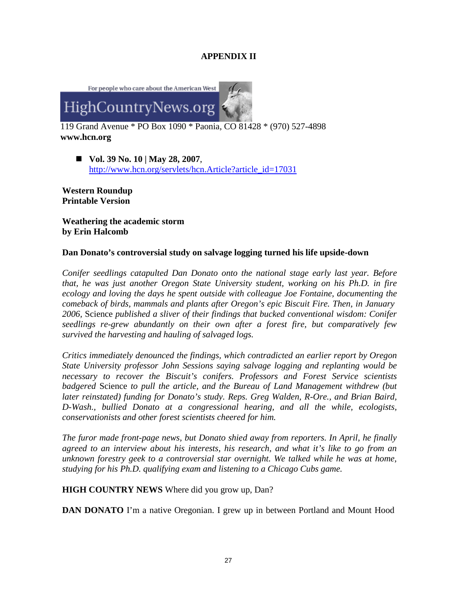# **APPENDIX II**



119 Grand Avenue \* PO Box 1090 \* Paonia, CO 81428 \* (970) 527-4898 **[www.hcn.org](http://www.hcn.org/)**

 **Vol. 39 No. 10 | May 28, 2007**, [http://www.hcn.org/servlets/hcn.Article?article\\_id=17031](http://www.hcn.org/servlets/hcn.Article?article_id=17031)

**Western Roundup Printable Version**

**Weathering the academic storm by Erin Halcomb**

# **Dan Donato's controversial study on salvage logging turned his life upside-down**

*Conifer seedlings catapulted Dan Donato onto the national stage early last year. Before that, he was just another Oregon State University student, working on his Ph.D. in fire ecology and loving the days he spent outside with colleague Joe Fontaine, documenting the comeback of birds, mammals and plants after Oregon's epic Biscuit Fire. Then, in January 2006,* Science *published a sliver of their findings that bucked conventional wisdom: Conifer seedlings re-grew abundantly on their own after a forest fire, but comparatively few survived the harvesting and hauling of salvaged logs.*

*Critics immediately denounced the findings, which contradicted an earlier report by Oregon State University professor John Sessions saying salvage logging and replanting would be necessary to recover the Biscuit's conifers. Professors and Forest Service scientists badgered* Science *to pull the article, and the Bureau of Land Management withdrew (but later reinstated) funding for Donato's study. Reps. Greg Walden, R-Ore., and Brian Baird, D-Wash., bullied Donato at a congressional hearing, and all the while, ecologists, conservationists and other forest scientists cheered for him.*

*The furor made front-page news, but Donato shied away from reporters. In April, he finally agreed to an interview about his interests, his research, and what it's like to go from an unknown forestry geek to a controversial star overnight. We talked while he was at home, studying for his Ph.D. qualifying exam and listening to a Chicago Cubs game.*

**HIGH COUNTRY NEWS** Where did you grow up, Dan?

**DAN DONATO** I'm a native Oregonian. I grew up in between Portland and Mount Hood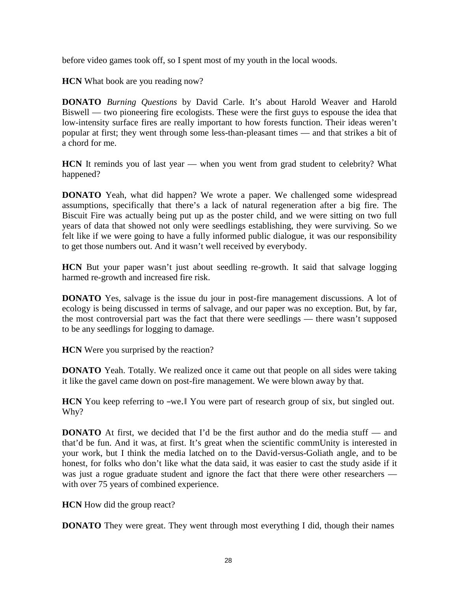before video games took off, so I spent most of my youth in the local woods.

**HCN** What book are you reading now?

**DONATO** *Burning Questions* by David Carle. It's about Harold Weaver and Harold Biswell — two pioneering fire ecologists. These were the first guys to espouse the idea that low-intensity surface fires are really important to how forests function. Their ideas weren't popular at first; they went through some less-than-pleasant times — and that strikes a bit of a chord for me.

**HCN** It reminds you of last year — when you went from grad student to celebrity? What happened?

**DONATO** Yeah, what did happen? We wrote a paper. We challenged some widespread assumptions, specifically that there's a lack of natural regeneration after a big fire. The Biscuit Fire was actually being put up as the poster child, and we were sitting on two full years of data that showed not only were seedlings establishing, they were surviving. So we felt like if we were going to have a fully informed public dialogue, it was our responsibility to get those numbers out. And it wasn't well received by everybody.

**HCN** But your paper wasn't just about seedling re-growth. It said that salvage logging harmed re-growth and increased fire risk.

**DONATO** Yes, salvage is the issue du jour in post-fire management discussions. A lot of ecology is being discussed in terms of salvage, and our paper was no exception. But, by far, the most controversial part was the fact that there were seedlings — there wasn't supposed to be any seedlings for logging to damage.

**HCN** Were you surprised by the reaction?

**DONATO** Yeah. Totally. We realized once it came out that people on all sides were taking it like the gavel came down on post-fire management. We were blown away by that.

**HCN** You keep referring to –we.<sup>|</sup> You were part of research group of six, but singled out. Why?

**DONATO** At first, we decided that I'd be the first author and do the media stuff — and that'd be fun. And it was, at first. It's great when the scientific commUnity is interested in your work, but I think the media latched on to the David-versus-Goliath angle, and to be honest, for folks who don't like what the data said, it was easier to cast the study aside if it was just a rogue graduate student and ignore the fact that there were other researchers with over 75 years of combined experience.

**HCN** How did the group react?

**DONATO** They were great. They went through most everything I did, though their names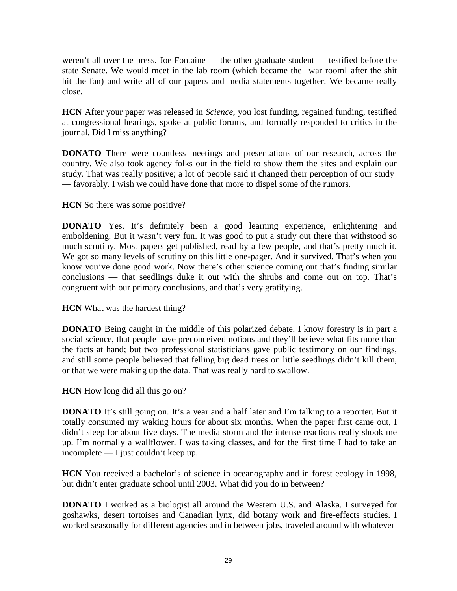weren't all over the press. Joe Fontaine — the other graduate student — testified before the state Senate. We would meet in the lab room (which became the -war room after the shit hit the fan) and write all of our papers and media statements together. We became really close.

**HCN** After your paper was released in *Science*, you lost funding, regained funding, testified at congressional hearings, spoke at public forums, and formally responded to critics in the journal. Did I miss anything?

**DONATO** There were countless meetings and presentations of our research, across the country. We also took agency folks out in the field to show them the sites and explain our study. That was really positive; a lot of people said it changed their perception of our study — favorably. I wish we could have done that more to dispel some of the rumors.

**HCN** So there was some positive?

**DONATO** Yes. It's definitely been a good learning experience, enlightening and emboldening. But it wasn't very fun. It was good to put a study out there that withstood so much scrutiny. Most papers get published, read by a few people, and that's pretty much it. We got so many levels of scrutiny on this little one-pager. And it survived. That's when you know you've done good work. Now there's other science coming out that's finding similar conclusions — that seedlings duke it out with the shrubs and come out on top. That's congruent with our primary conclusions, and that's very gratifying.

**HCN** What was the hardest thing?

**DONATO** Being caught in the middle of this polarized debate. I know forestry is in part a social science, that people have preconceived notions and they'll believe what fits more than the facts at hand; but two professional statisticians gave public testimony on our findings, and still some people believed that felling big dead trees on little seedlings didn't kill them, or that we were making up the data. That was really hard to swallow.

**HCN** How long did all this go on?

**DONATO** It's still going on. It's a year and a half later and I'm talking to a reporter. But it totally consumed my waking hours for about six months. When the paper first came out, I didn't sleep for about five days. The media storm and the intense reactions really shook me up. I'm normally a wallflower. I was taking classes, and for the first time I had to take an incomplete — I just couldn't keep up.

**HCN** You received a bachelor's of science in oceanography and in forest ecology in 1998, but didn't enter graduate school until 2003. What did you do in between?

**DONATO** I worked as a biologist all around the Western U.S. and Alaska. I surveyed for goshawks, desert tortoises and Canadian lynx, did botany work and fire-effects studies. I worked seasonally for different agencies and in between jobs, traveled around with whatever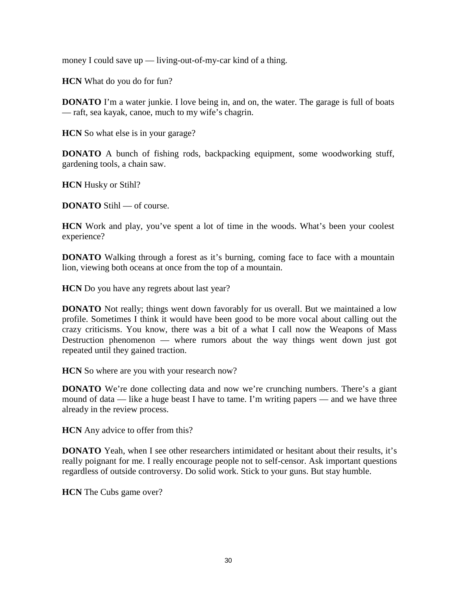money I could save up — living-out-of-my-car kind of a thing.

**HCN** What do you do for fun?

**DONATO** I'm a water junkie. I love being in, and on, the water. The garage is full of boats — raft, sea kayak, canoe, much to my wife's chagrin.

**HCN** So what else is in your garage?

**DONATO** A bunch of fishing rods, backpacking equipment, some woodworking stuff, gardening tools, a chain saw.

**HCN** Husky or Stihl?

**DONATO** Stihl — of course.

**HCN** Work and play, you've spent a lot of time in the woods. What's been your coolest experience?

**DONATO** Walking through a forest as it's burning, coming face to face with a mountain lion, viewing both oceans at once from the top of a mountain.

**HCN** Do you have any regrets about last year?

**DONATO** Not really; things went down favorably for us overall. But we maintained a low profile. Sometimes I think it would have been good to be more vocal about calling out the crazy criticisms. You know, there was a bit of a what I call now the Weapons of Mass Destruction phenomenon — where rumors about the way things went down just got repeated until they gained traction.

**HCN** So where are you with your research now?

**DONATO** We're done collecting data and now we're crunching numbers. There's a giant mound of data — like a huge beast I have to tame. I'm writing papers — and we have three already in the review process.

**HCN** Any advice to offer from this?

**DONATO** Yeah, when I see other researchers intimidated or hesitant about their results, it's really poignant for me. I really encourage people not to self-censor. Ask important questions regardless of outside controversy. Do solid work. Stick to your guns. But stay humble.

**HCN** The Cubs game over?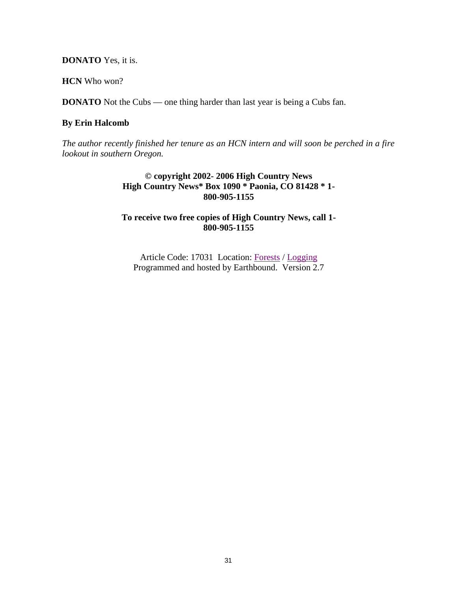**DONATO** Yes, it is.

**HCN** Who won?

**DONATO** Not the Cubs — one thing harder than last year is being a Cubs fan.

# **By Erin Halcomb**

*The author recently finished her tenure as an HCN intern and will soon be perched in a fire lookout in southern Oregon.*

> **© copyright 2002- 2006 High Country News High Country News\* Box 1090 \* Paonia, CO 81428 \* 1- 800-905-1155**

# **To receive two free copies of High Country News, call 1- 800-905-1155**

Article Code: 17031 Location: [Forests](http://www.hcn.org/archivesbycategory.jsp?category=Forests) / [Logging](http://www.hcn.org/archivesbysubject.jsp?subject=Logging&category=Forests) Programmed and hosted by Earthbound. Version 2.7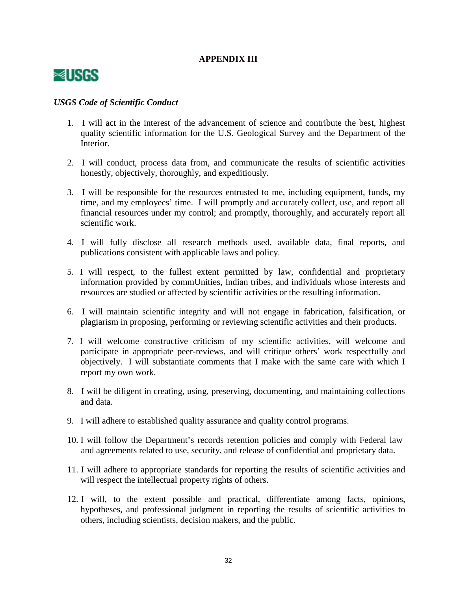# **APPENDIX III**



# *USGS Code of Scientific Conduct*

- 1. I will act in the interest of the advancement of science and contribute the best, highest quality scientific information for the U.S. Geological Survey and the Department of the Interior.
- 2. I will conduct, process data from, and communicate the results of scientific activities honestly, objectively, thoroughly, and expeditiously.
- 3. I will be responsible for the resources entrusted to me, including equipment, funds, my time, and my employees' time. I will promptly and accurately collect, use, and report all financial resources under my control; and promptly, thoroughly, and accurately report all scientific work.
- 4. I will fully disclose all research methods used, available data, final reports, and publications consistent with applicable laws and policy.
- 5. I will respect, to the fullest extent permitted by law, confidential and proprietary information provided by commUnities, Indian tribes, and individuals whose interests and resources are studied or affected by scientific activities or the resulting information.
- 6. I will maintain scientific integrity and will not engage in fabrication, falsification, or plagiarism in proposing, performing or reviewing scientific activities and their products.
- 7. I will welcome constructive criticism of my scientific activities, will welcome and participate in appropriate peer-reviews, and will critique others' work respectfully and objectively. I will substantiate comments that I make with the same care with which I report my own work.
- 8. I will be diligent in creating, using, preserving, documenting, and maintaining collections and data.
- 9. I will adhere to established quality assurance and quality control programs.
- 10. I will follow the Department's records retention policies and comply with Federal law and agreements related to use, security, and release of confidential and proprietary data.
- 11. I will adhere to appropriate standards for reporting the results of scientific activities and will respect the intellectual property rights of others.
- 12. I will, to the extent possible and practical, differentiate among facts, opinions, hypotheses, and professional judgment in reporting the results of scientific activities to others, including scientists, decision makers, and the public.